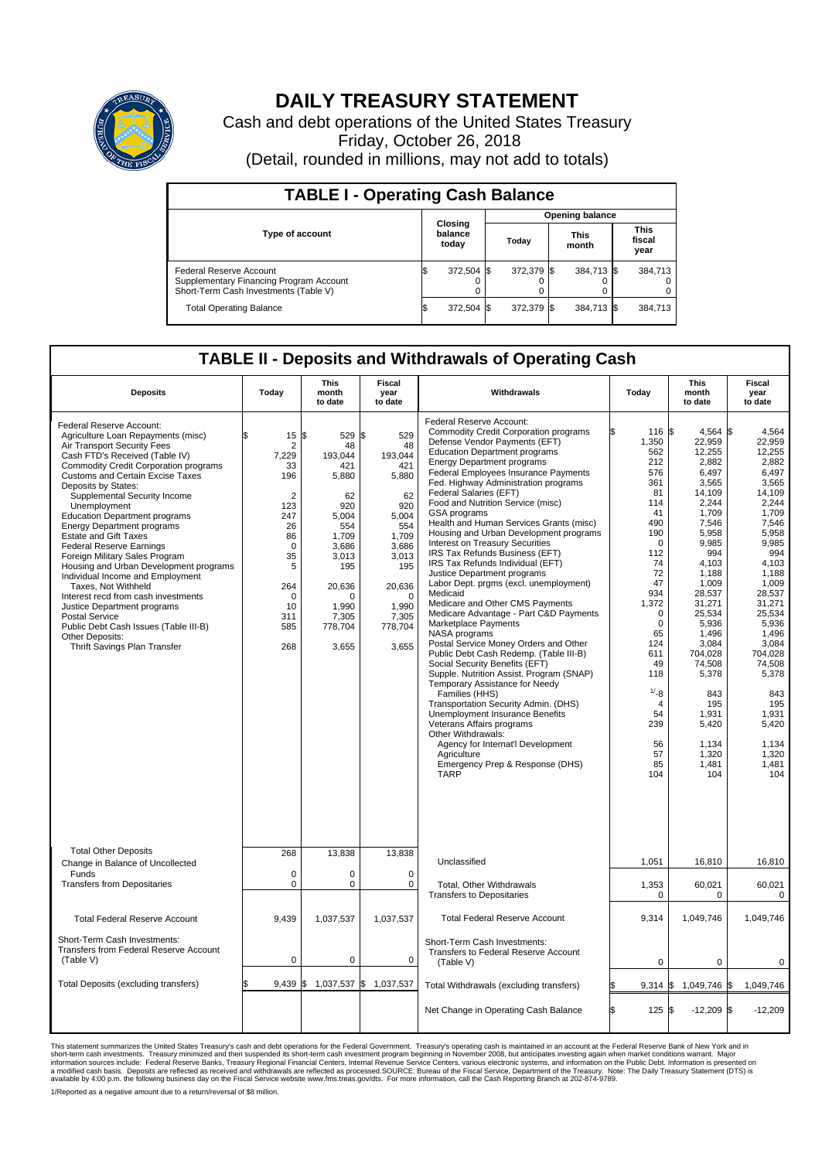

## **DAILY TREASURY STATEMENT**

Cash and debt operations of the United States Treasury Friday, October 26, 2018 (Detail, rounded in millions, may not add to totals)

| <b>TABLE I - Operating Cash Balance</b>                                                                     |                             |            |       |                        |                      |            |  |                               |  |  |  |
|-------------------------------------------------------------------------------------------------------------|-----------------------------|------------|-------|------------------------|----------------------|------------|--|-------------------------------|--|--|--|
|                                                                                                             | Closing<br>balance<br>today |            |       | <b>Opening balance</b> |                      |            |  |                               |  |  |  |
| <b>Type of account</b>                                                                                      |                             |            | Today |                        | <b>This</b><br>month |            |  | <b>This</b><br>fiscal<br>year |  |  |  |
| Federal Reserve Account<br>Supplementary Financing Program Account<br>Short-Term Cash Investments (Table V) |                             | 372,504 \$ |       | 372,379 \$             |                      | 384,713 \$ |  | 384,713                       |  |  |  |
| <b>Total Operating Balance</b>                                                                              | ß.                          | 372,504 \$ |       | 372,379 \$             |                      | 384,713 \$ |  | 384,713                       |  |  |  |

## **TABLE II - Deposits and Withdrawals of Operating Cash**

| <b>Deposits</b>                                                                                                                                                                                                                                                                                                                                                                                                                                                                                                                                                                                                                                                                                                                                                | Today                                                                                                                                                   | <b>This</b><br>month<br>to date                                                                                                                                | <b>Fiscal</b><br>year<br>to date                                                                                                                                       | Withdrawals                                                                                                                                                                                                                                                                                                                                                                                                                                                                                                                                                                                                                                                                                                                                                                                                                                                                                                                                                                                                                                                                                                                                                                                                             | Today                                                                                                                                                                                                                                                               | <b>This</b><br>month<br>to date                                                                                                                                                                                                                                                                           | Fiscal<br>year<br>to date                                                                                                                                                                                                                                                                              |  |
|----------------------------------------------------------------------------------------------------------------------------------------------------------------------------------------------------------------------------------------------------------------------------------------------------------------------------------------------------------------------------------------------------------------------------------------------------------------------------------------------------------------------------------------------------------------------------------------------------------------------------------------------------------------------------------------------------------------------------------------------------------------|---------------------------------------------------------------------------------------------------------------------------------------------------------|----------------------------------------------------------------------------------------------------------------------------------------------------------------|------------------------------------------------------------------------------------------------------------------------------------------------------------------------|-------------------------------------------------------------------------------------------------------------------------------------------------------------------------------------------------------------------------------------------------------------------------------------------------------------------------------------------------------------------------------------------------------------------------------------------------------------------------------------------------------------------------------------------------------------------------------------------------------------------------------------------------------------------------------------------------------------------------------------------------------------------------------------------------------------------------------------------------------------------------------------------------------------------------------------------------------------------------------------------------------------------------------------------------------------------------------------------------------------------------------------------------------------------------------------------------------------------------|---------------------------------------------------------------------------------------------------------------------------------------------------------------------------------------------------------------------------------------------------------------------|-----------------------------------------------------------------------------------------------------------------------------------------------------------------------------------------------------------------------------------------------------------------------------------------------------------|--------------------------------------------------------------------------------------------------------------------------------------------------------------------------------------------------------------------------------------------------------------------------------------------------------|--|
| Federal Reserve Account:<br>Agriculture Loan Repayments (misc)<br>Air Transport Security Fees<br>Cash FTD's Received (Table IV)<br>Commodity Credit Corporation programs<br>Customs and Certain Excise Taxes<br>Deposits by States:<br>Supplemental Security Income<br>Unemployment<br><b>Education Department programs</b><br><b>Energy Department programs</b><br><b>Estate and Gift Taxes</b><br><b>Federal Reserve Earnings</b><br>Foreign Military Sales Program<br>Housing and Urban Development programs<br>Individual Income and Employment<br>Taxes. Not Withheld<br>Interest recd from cash investments<br>Justice Department programs<br>Postal Service<br>Public Debt Cash Issues (Table III-B)<br>Other Deposits:<br>Thrift Savings Plan Transfer | \$<br>15<br>2<br>7,229<br>33<br>196<br>$\overline{2}$<br>123<br>247<br>26<br>86<br>$\mathbf 0$<br>35<br>5<br>264<br>$\Omega$<br>10<br>311<br>585<br>268 | \$<br>529<br>48<br>193,044<br>421<br>5,880<br>62<br>920<br>5.004<br>554<br>1,709<br>3,686<br>3,013<br>195<br>20,636<br>n<br>1.990<br>7,305<br>778,704<br>3,655 | l\$<br>529<br>48<br>193,044<br>421<br>5,880<br>62<br>920<br>5.004<br>554<br>1.709<br>3,686<br>3,013<br>195<br>20,636<br>$\Omega$<br>1.990<br>7,305<br>778,704<br>3,655 | Federal Reserve Account:<br><b>Commodity Credit Corporation programs</b><br>Defense Vendor Payments (EFT)<br><b>Education Department programs</b><br><b>Energy Department programs</b><br>Federal Employees Insurance Payments<br>Fed. Highway Administration programs<br>Federal Salaries (EFT)<br>Food and Nutrition Service (misc)<br>GSA programs<br>Health and Human Services Grants (misc)<br>Housing and Urban Development programs<br>Interest on Treasury Securities<br>IRS Tax Refunds Business (EFT)<br>IRS Tax Refunds Individual (EFT)<br>Justice Department programs<br>Labor Dept. prgms (excl. unemployment)<br>Medicaid<br>Medicare and Other CMS Payments<br>Medicare Advantage - Part C&D Payments<br>Marketplace Payments<br>NASA programs<br>Postal Service Money Orders and Other<br>Public Debt Cash Redemp. (Table III-B)<br>Social Security Benefits (EFT)<br>Supple. Nutrition Assist. Program (SNAP)<br>Temporary Assistance for Needy<br>Families (HHS)<br>Transportation Security Admin. (DHS)<br>Unemployment Insurance Benefits<br>Veterans Affairs programs<br>Other Withdrawals:<br>Agency for Internat'l Development<br>Agriculture<br>Emergency Prep & Response (DHS)<br><b>TARP</b> | 116 \$<br>1,350<br>562<br>212<br>576<br>361<br>81<br>114<br>41<br>490<br>190<br>$\mathbf 0$<br>112<br>74<br>72<br>47<br>934<br>1,372<br>$\mathbf 0$<br>$\mathbf 0$<br>65<br>124<br>611<br>49<br>118<br>1/28<br>$\overline{4}$<br>54<br>239<br>56<br>57<br>85<br>104 | 4,564 \$<br>22,959<br>12.255<br>2,882<br>6.497<br>3,565<br>14,109<br>2,244<br>1,709<br>7,546<br>5,958<br>9,985<br>994<br>4.103<br>1,188<br>1,009<br>28,537<br>31,271<br>25,534<br>5,936<br>1.496<br>3,084<br>704,028<br>74,508<br>5,378<br>843<br>195<br>1,931<br>5,420<br>1,134<br>1,320<br>1,481<br>104 | 4.564<br>22,959<br>12.255<br>2,882<br>6,497<br>3,565<br>14,109<br>2,244<br>1,709<br>7.546<br>5,958<br>9,985<br>994<br>4.103<br>1,188<br>1,009<br>28.537<br>31,271<br>25,534<br>5,936<br>1.496<br>3,084<br>704,028<br>74,508<br>5,378<br>843<br>195<br>1,931<br>5,420<br>1,134<br>1,320<br>1,481<br>104 |  |
| <b>Total Other Deposits</b>                                                                                                                                                                                                                                                                                                                                                                                                                                                                                                                                                                                                                                                                                                                                    | 268                                                                                                                                                     | 13,838                                                                                                                                                         | 13,838                                                                                                                                                                 | Unclassified                                                                                                                                                                                                                                                                                                                                                                                                                                                                                                                                                                                                                                                                                                                                                                                                                                                                                                                                                                                                                                                                                                                                                                                                            | 1,051                                                                                                                                                                                                                                                               | 16,810                                                                                                                                                                                                                                                                                                    | 16,810                                                                                                                                                                                                                                                                                                 |  |
| Change in Balance of Uncollected<br>Funds<br><b>Transfers from Depositaries</b>                                                                                                                                                                                                                                                                                                                                                                                                                                                                                                                                                                                                                                                                                | $\mathbf 0$<br>$\pmb{0}$                                                                                                                                | 0<br>0                                                                                                                                                         | $\mathbf 0$<br>0                                                                                                                                                       | Total, Other Withdrawals                                                                                                                                                                                                                                                                                                                                                                                                                                                                                                                                                                                                                                                                                                                                                                                                                                                                                                                                                                                                                                                                                                                                                                                                |                                                                                                                                                                                                                                                                     | 60,021                                                                                                                                                                                                                                                                                                    | 60,021                                                                                                                                                                                                                                                                                                 |  |
|                                                                                                                                                                                                                                                                                                                                                                                                                                                                                                                                                                                                                                                                                                                                                                |                                                                                                                                                         |                                                                                                                                                                |                                                                                                                                                                        | <b>Transfers to Depositaries</b>                                                                                                                                                                                                                                                                                                                                                                                                                                                                                                                                                                                                                                                                                                                                                                                                                                                                                                                                                                                                                                                                                                                                                                                        | 1,353<br>0                                                                                                                                                                                                                                                          | 0                                                                                                                                                                                                                                                                                                         | $\mathbf 0$                                                                                                                                                                                                                                                                                            |  |
| <b>Total Federal Reserve Account</b>                                                                                                                                                                                                                                                                                                                                                                                                                                                                                                                                                                                                                                                                                                                           | 9,439                                                                                                                                                   | 1,037,537                                                                                                                                                      | 1,037,537                                                                                                                                                              | <b>Total Federal Reserve Account</b>                                                                                                                                                                                                                                                                                                                                                                                                                                                                                                                                                                                                                                                                                                                                                                                                                                                                                                                                                                                                                                                                                                                                                                                    | 9,314                                                                                                                                                                                                                                                               | 1,049,746                                                                                                                                                                                                                                                                                                 | 1,049,746                                                                                                                                                                                                                                                                                              |  |
| Short-Term Cash Investments:<br>Transfers from Federal Reserve Account<br>(Table V)                                                                                                                                                                                                                                                                                                                                                                                                                                                                                                                                                                                                                                                                            | $\mathbf 0$                                                                                                                                             | 0                                                                                                                                                              | $\mathbf 0$                                                                                                                                                            | Short-Term Cash Investments:<br>Transfers to Federal Reserve Account<br>(Table V)                                                                                                                                                                                                                                                                                                                                                                                                                                                                                                                                                                                                                                                                                                                                                                                                                                                                                                                                                                                                                                                                                                                                       | $\mathbf 0$                                                                                                                                                                                                                                                         | $\mathbf 0$                                                                                                                                                                                                                                                                                               | 0                                                                                                                                                                                                                                                                                                      |  |
| Total Deposits (excluding transfers)                                                                                                                                                                                                                                                                                                                                                                                                                                                                                                                                                                                                                                                                                                                           | 9,439<br>\$                                                                                                                                             | $\frac{1}{9}$ 1,037,537 \$ 1,037,537                                                                                                                           |                                                                                                                                                                        | Total Withdrawals (excluding transfers)                                                                                                                                                                                                                                                                                                                                                                                                                                                                                                                                                                                                                                                                                                                                                                                                                                                                                                                                                                                                                                                                                                                                                                                 | $9,314$ \$                                                                                                                                                                                                                                                          | 1,049,746 \$                                                                                                                                                                                                                                                                                              | 1,049,746                                                                                                                                                                                                                                                                                              |  |
|                                                                                                                                                                                                                                                                                                                                                                                                                                                                                                                                                                                                                                                                                                                                                                |                                                                                                                                                         |                                                                                                                                                                |                                                                                                                                                                        | Net Change in Operating Cash Balance                                                                                                                                                                                                                                                                                                                                                                                                                                                                                                                                                                                                                                                                                                                                                                                                                                                                                                                                                                                                                                                                                                                                                                                    | Ŝ.<br>125 \$                                                                                                                                                                                                                                                        | $-12,209$ \$                                                                                                                                                                                                                                                                                              | $-12,209$                                                                                                                                                                                                                                                                                              |  |

This statement summarizes the United States Treasury's cash and debt operations for the Federal Government. Treasury soperating in November 2008, but anticiarde in a cocount at the Federal Reserve Bank of New York and in<br>s

1/Reported as a negative amount due to a return/reversal of \$8 million.